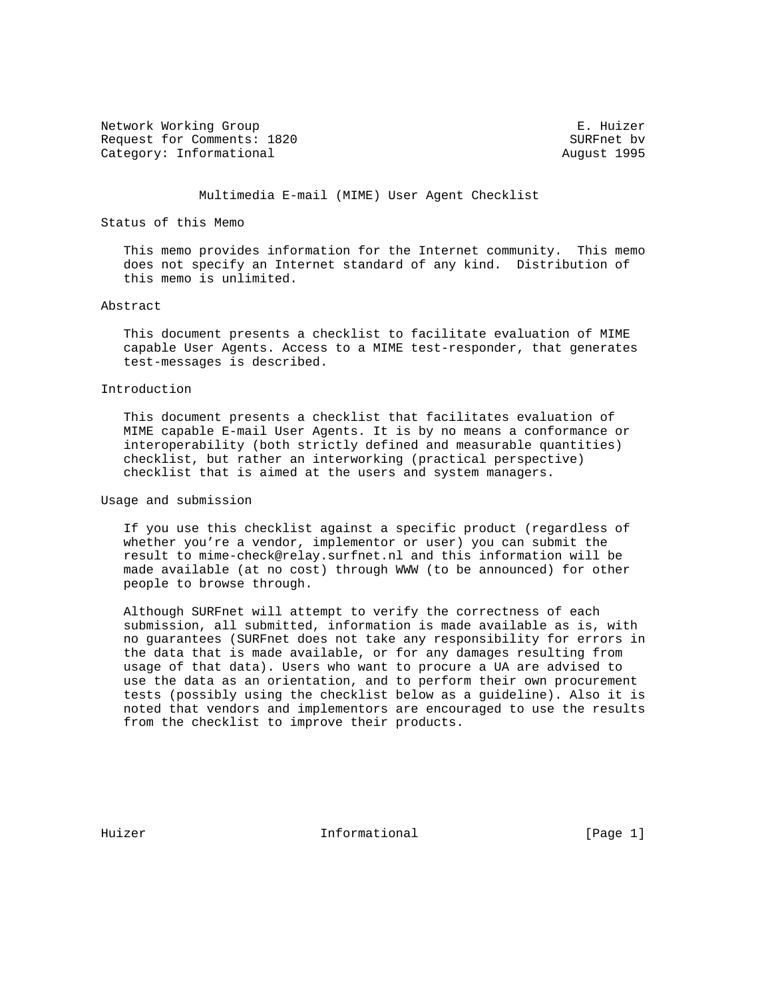Network Working Group **E. Huizer** E. Huizer Request for Comments: 1820 SURFnet bv Category: Informational and August 1995

# Multimedia E-mail (MIME) User Agent Checklist

# Status of this Memo

 This memo provides information for the Internet community. This memo does not specify an Internet standard of any kind. Distribution of this memo is unlimited.

## Abstract

 This document presents a checklist to facilitate evaluation of MIME capable User Agents. Access to a MIME test-responder, that generates test-messages is described.

### Introduction

 This document presents a checklist that facilitates evaluation of MIME capable E-mail User Agents. It is by no means a conformance or interoperability (both strictly defined and measurable quantities) checklist, but rather an interworking (practical perspective) checklist that is aimed at the users and system managers.

Usage and submission

 If you use this checklist against a specific product (regardless of whether you're a vendor, implementor or user) you can submit the result to mime-check@relay.surfnet.nl and this information will be made available (at no cost) through WWW (to be announced) for other people to browse through.

 Although SURFnet will attempt to verify the correctness of each submission, all submitted, information is made available as is, with no guarantees (SURFnet does not take any responsibility for errors in the data that is made available, or for any damages resulting from usage of that data). Users who want to procure a UA are advised to use the data as an orientation, and to perform their own procurement tests (possibly using the checklist below as a guideline). Also it is noted that vendors and implementors are encouraged to use the results from the checklist to improve their products.

Huizer **Informational** Informational [Page 1]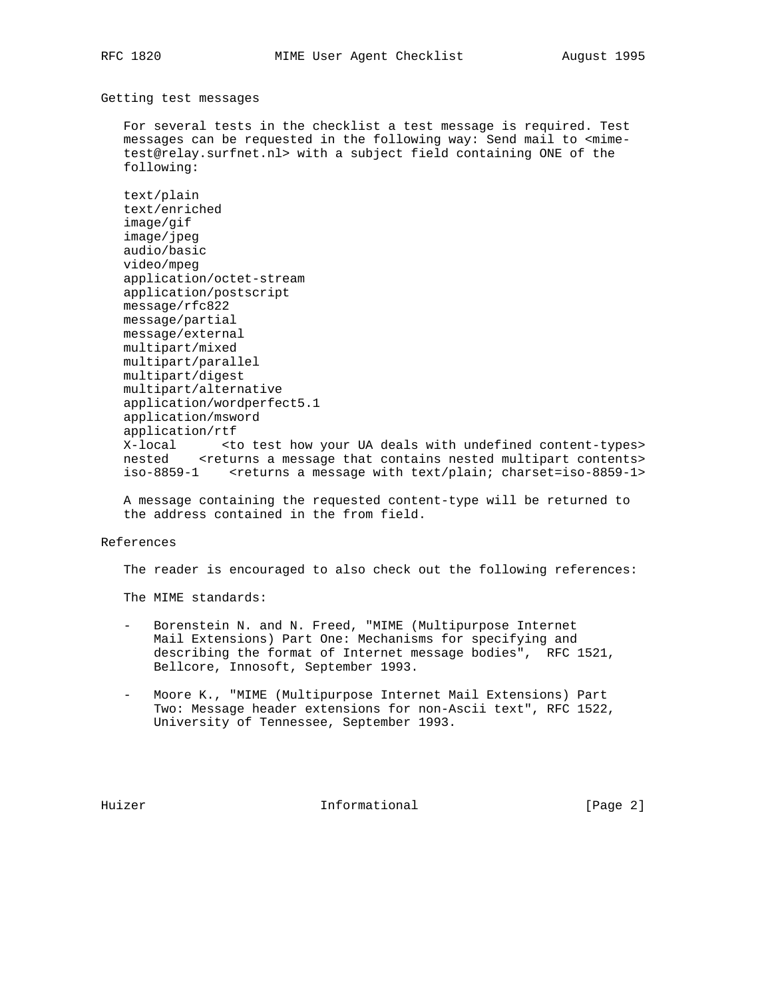Getting test messages

 For several tests in the checklist a test message is required. Test messages can be requested in the following way: Send mail to <mime test@relay.surfnet.nl> with a subject field containing ONE of the following:

 text/plain text/enriched image/gif image/jpeg audio/basic video/mpeg application/octet-stream application/postscript message/rfc822 message/partial message/external multipart/mixed multipart/parallel multipart/digest multipart/alternative application/wordperfect5.1 application/msword application/rtf X-local  $\longrightarrow$  <to test how your UA deals with undefined content-types> nested <returns a message that contains nested multipart contents> iso-8859-1 <returns a message with text/plain; charset=iso-8859-1>

 A message containing the requested content-type will be returned to the address contained in the from field.

#### References

The reader is encouraged to also check out the following references:

The MIME standards:

- Borenstein N. and N. Freed, "MIME (Multipurpose Internet Mail Extensions) Part One: Mechanisms for specifying and describing the format of Internet message bodies", RFC 1521, Bellcore, Innosoft, September 1993.
- Moore K., "MIME (Multipurpose Internet Mail Extensions) Part Two: Message header extensions for non-Ascii text", RFC 1522, University of Tennessee, September 1993.

Huizer **Informational Informational** [Page 2]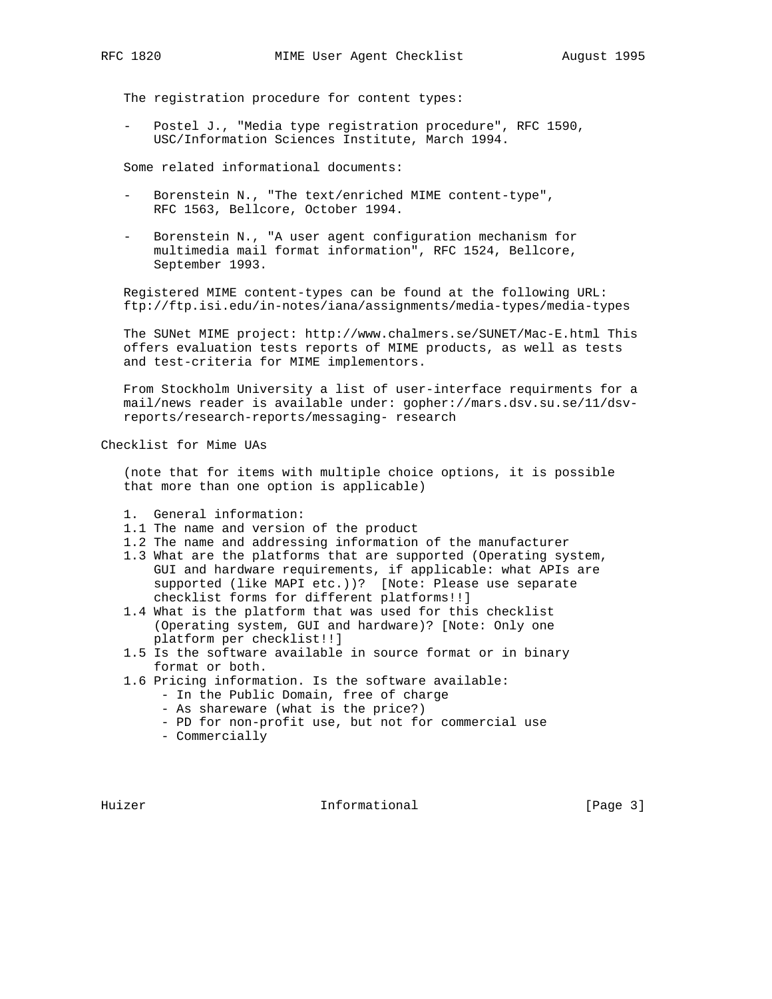The registration procedure for content types:

Postel J., "Media type registration procedure", RFC 1590, USC/Information Sciences Institute, March 1994.

Some related informational documents:

- Borenstein N., "The text/enriched MIME content-type", RFC 1563, Bellcore, October 1994.
- Borenstein N., "A user agent configuration mechanism for multimedia mail format information", RFC 1524, Bellcore, September 1993.

 Registered MIME content-types can be found at the following URL: ftp://ftp.isi.edu/in-notes/iana/assignments/media-types/media-types

 The SUNet MIME project: http://www.chalmers.se/SUNET/Mac-E.html This offers evaluation tests reports of MIME products, as well as tests and test-criteria for MIME implementors.

 From Stockholm University a list of user-interface requirments for a mail/news reader is available under: gopher://mars.dsv.su.se/11/dsv reports/research-reports/messaging- research

Checklist for Mime UAs

 (note that for items with multiple choice options, it is possible that more than one option is applicable)

- 1. General information:
- 1.1 The name and version of the product
- 1.2 The name and addressing information of the manufacturer
- 1.3 What are the platforms that are supported (Operating system, GUI and hardware requirements, if applicable: what APIs are supported (like MAPI etc.))? [Note: Please use separate checklist forms for different platforms!!]
- 1.4 What is the platform that was used for this checklist (Operating system, GUI and hardware)? [Note: Only one platform per checklist!!]
- 1.5 Is the software available in source format or in binary format or both.
- 1.6 Pricing information. Is the software available:
	- In the Public Domain, free of charge
	- As shareware (what is the price?)
	- PD for non-profit use, but not for commercial use
	- Commercially

Huizer **Informational** Informational [Page 3]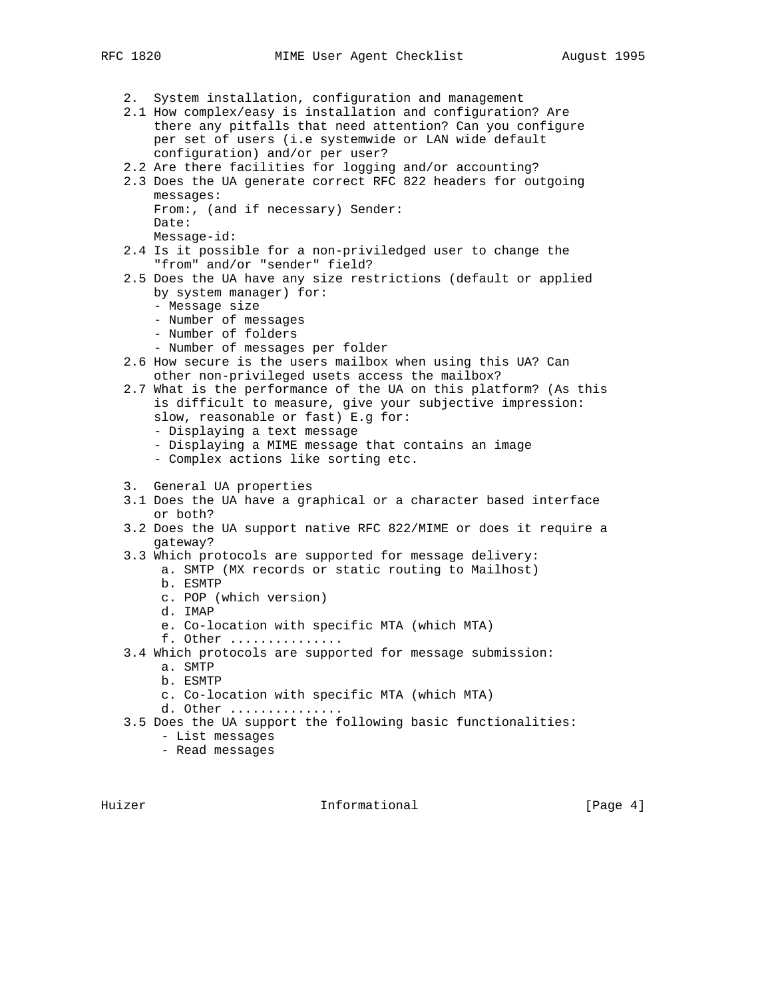- - 2. System installation, configuration and management
	- 2.1 How complex/easy is installation and configuration? Are there any pitfalls that need attention? Can you configure per set of users (i.e systemwide or LAN wide default configuration) and/or per user?
	- 2.2 Are there facilities for logging and/or accounting?
	- 2.3 Does the UA generate correct RFC 822 headers for outgoing messages:
		- From:, (and if necessary) Sender: Date:
		- Message-id:
	- 2.4 Is it possible for a non-priviledged user to change the "from" and/or "sender" field?
	- 2.5 Does the UA have any size restrictions (default or applied by system manager) for:
		- Message size
		- Number of messages
		- Number of folders
		- Number of messages per folder
	- 2.6 How secure is the users mailbox when using this UA? Can other non-privileged usets access the mailbox?
	- 2.7 What is the performance of the UA on this platform? (As this is difficult to measure, give your subjective impression: slow, reasonable or fast) E.g for:
		- Displaying a text message
		- Displaying a MIME message that contains an image
		- Complex actions like sorting etc.
	- 3. General UA properties
	- 3.1 Does the UA have a graphical or a character based interface or both?
	- 3.2 Does the UA support native RFC 822/MIME or does it require a gateway?
	- 3.3 Which protocols are supported for message delivery:
		- a. SMTP (MX records or static routing to Mailhost)
			- b. ESMTP
			- c. POP (which version)
			- d. IMAP
			- e. Co-location with specific MTA (which MTA)
		- f. Other ...............
	- 3.4 Which protocols are supported for message submission:
		- a. SMTP
		- b. ESMTP
		- c. Co-location with specific MTA (which MTA)
		- d. Other ...............

3.5 Does the UA support the following basic functionalities:

- List messages
- Read messages

Huizer **Informational** Informational [Page 4]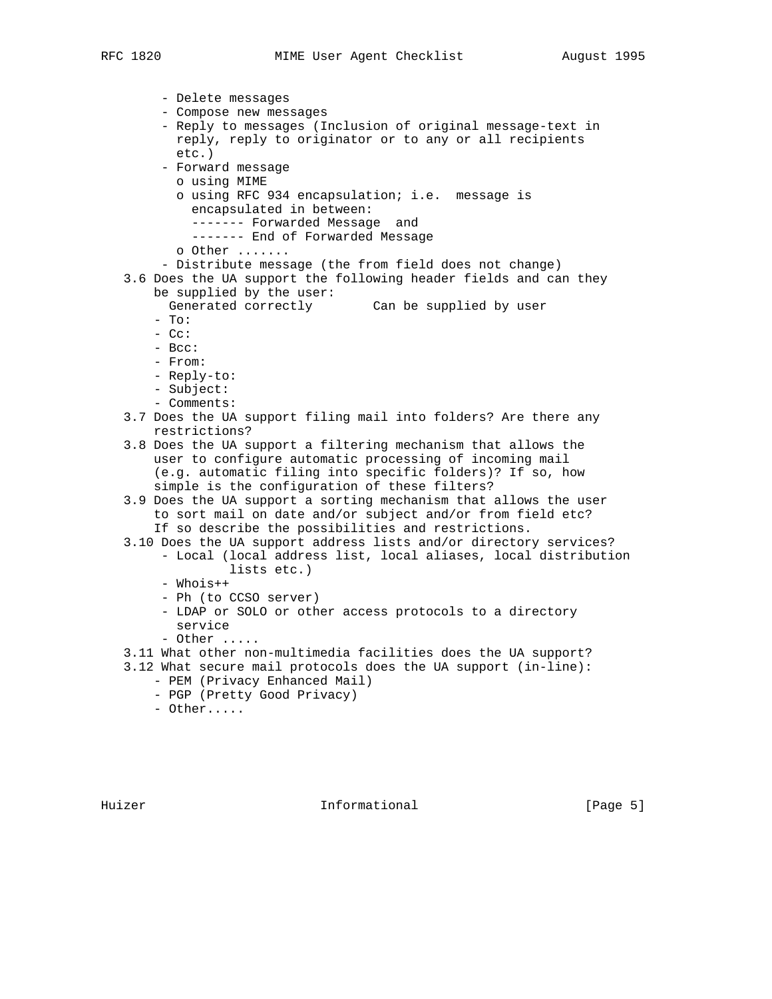```
 - Delete messages
     - Compose new messages
     - Reply to messages (Inclusion of original message-text in
      reply, reply to originator or to any or all recipients
      etc.)
     - Forward message
      o using MIME
       o using RFC 934 encapsulation; i.e. message is
        encapsulated in between:
        ------- Forwarded Message and
         ------- End of Forwarded Message
       o Other .......
     - Distribute message (the from field does not change)
3.6 Does the UA support the following header fields and can they
   be supplied by the user:
     Generated correctly Can be supplied by user
    - To:
   - Cc:
    - Bcc:
    - From:
    - Reply-to:
    - Subject:
    - Comments:
3.7 Does the UA support filing mail into folders? Are there any
   restrictions?
3.8 Does the UA support a filtering mechanism that allows the
    user to configure automatic processing of incoming mail
    (e.g. automatic filing into specific folders)? If so, how
    simple is the configuration of these filters?
3.9 Does the UA support a sorting mechanism that allows the user
    to sort mail on date and/or subject and/or from field etc?
    If so describe the possibilities and restrictions.
3.10 Does the UA support address lists and/or directory services?
     - Local (local address list, local aliases, local distribution
             lists etc.)
     - Whois++
     - Ph (to CCSO server)
     - LDAP or SOLO or other access protocols to a directory
      service
     - Other .....
3.11 What other non-multimedia facilities does the UA support?
3.12 What secure mail protocols does the UA support (in-line):
    - PEM (Privacy Enhanced Mail)
    - PGP (Pretty Good Privacy)
```
- Other.....

Huizer **Informational** Informational [Page 5]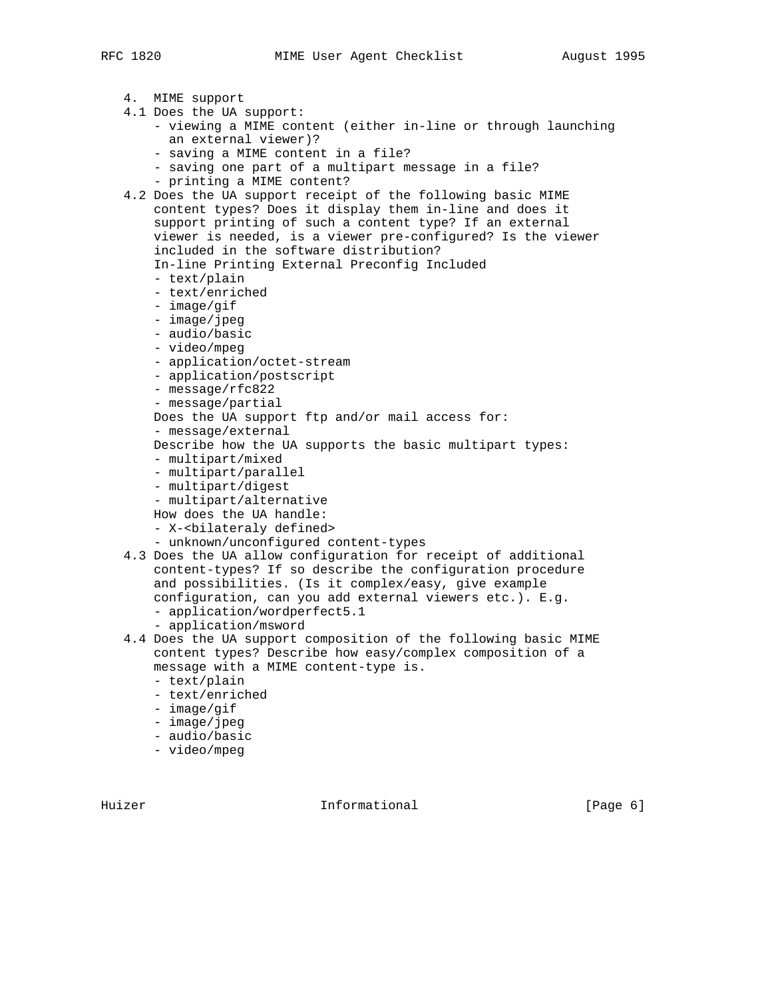4. MIME support 4.1 Does the UA support: - viewing a MIME content (either in-line or through launching an external viewer)? - saving a MIME content in a file? - saving one part of a multipart message in a file? - printing a MIME content? 4.2 Does the UA support receipt of the following basic MIME content types? Does it display them in-line and does it support printing of such a content type? If an external viewer is needed, is a viewer pre-configured? Is the viewer included in the software distribution? In-line Printing External Preconfig Included - text/plain - text/enriched - image/gif - image/jpeg - audio/basic - video/mpeg - application/octet-stream - application/postscript - message/rfc822 - message/partial Does the UA support ftp and/or mail access for: - message/external Describe how the UA supports the basic multipart types: - multipart/mixed - multipart/parallel - multipart/digest - multipart/alternative How does the UA handle: - X-<br />bilateraly defined> - unknown/unconfigured content-types 4.3 Does the UA allow configuration for receipt of additional content-types? If so describe the configuration procedure and possibilities. (Is it complex/easy, give example configuration, can you add external viewers etc.). E.g. - application/wordperfect5.1 - application/msword 4.4 Does the UA support composition of the following basic MIME content types? Describe how easy/complex composition of a message with a MIME content-type is. - text/plain - text/enriched - image/gif - image/jpeg - audio/basic - video/mpeg

Huizer **Informational Informational** [Page 6]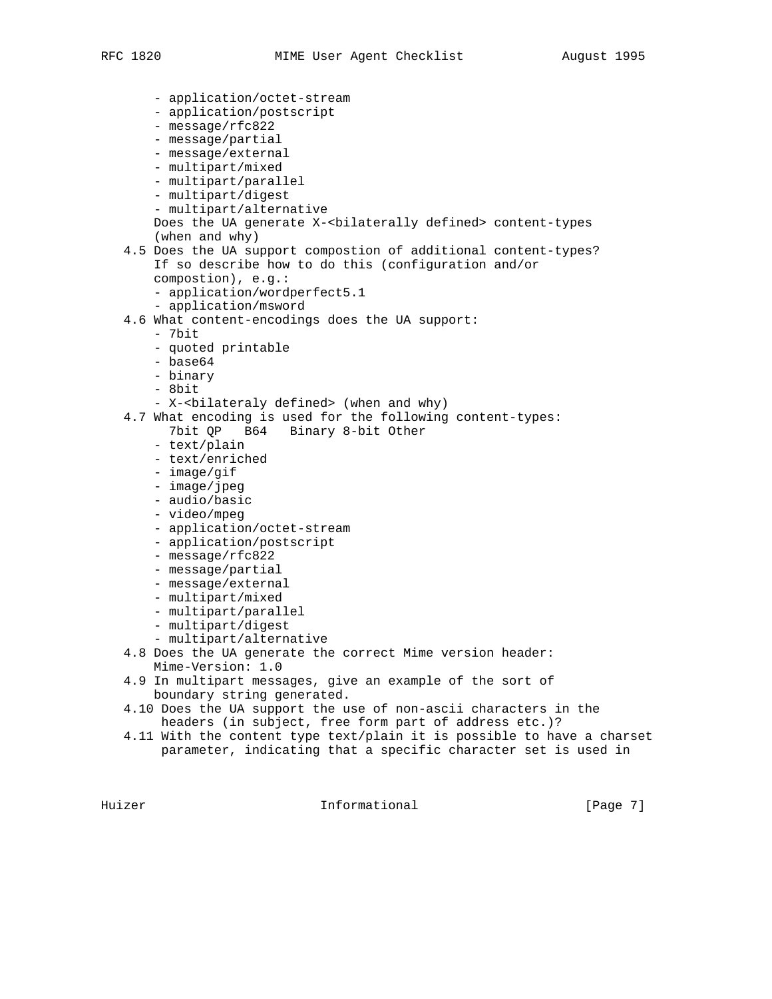- application/octet-stream - application/postscript - message/rfc822 - message/partial - message/external - multipart/mixed - multipart/parallel - multipart/digest - multipart/alternative Does the UA generate X-<br/>bilaterally defined> content-types (when and why) 4.5 Does the UA support compostion of additional content-types? If so describe how to do this (configuration and/or compostion), e.g.: - application/wordperfect5.1 - application/msword 4.6 What content-encodings does the UA support: - 7bit - quoted printable - base64 - binary - 8bit - X-<bilateraly defined> (when and why) 4.7 What encoding is used for the following content-types: 7bit QP B64 Binary 8-bit Other - text/plain - text/enriched - image/gif - image/jpeg - audio/basic - video/mpeg - application/octet-stream - application/postscript - message/rfc822 - message/partial - message/external - multipart/mixed - multipart/parallel - multipart/digest - multipart/alternative 4.8 Does the UA generate the correct Mime version header: Mime-Version: 1.0 4.9 In multipart messages, give an example of the sort of boundary string generated. 4.10 Does the UA support the use of non-ascii characters in the headers (in subject, free form part of address etc.)? 4.11 With the content type text/plain it is possible to have a charset parameter, indicating that a specific character set is used in

Huizer **Informational** Informational [Page 7]